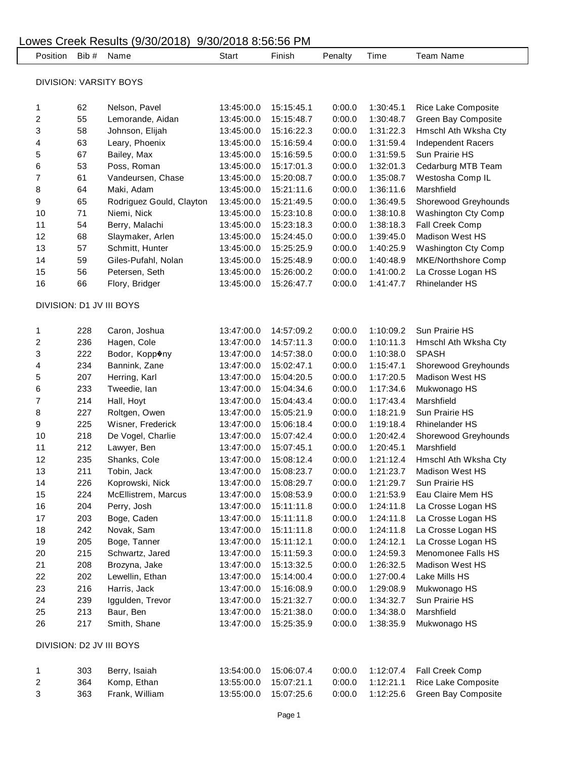| Position               | Bib #                    | Name                     | Start      | Finish     | Penalty | Time      | Team Name             |  |
|------------------------|--------------------------|--------------------------|------------|------------|---------|-----------|-----------------------|--|
| DIVISION: VARSITY BOYS |                          |                          |            |            |         |           |                       |  |
|                        |                          |                          |            |            |         |           |                       |  |
| 1                      | 62                       | Nelson, Pavel            | 13:45:00.0 | 15:15:45.1 | 0:00.0  | 1:30:45.1 | Rice Lake Composite   |  |
| 2                      | 55                       | Lemorande, Aidan         | 13:45:00.0 | 15:15:48.7 | 0:00.0  | 1:30:48.7 | Green Bay Composite   |  |
| 3                      | 58                       | Johnson, Elijah          | 13:45:00.0 | 15:16:22.3 | 0:00.0  | 1:31:22.3 | Hmschl Ath Wksha Cty  |  |
| 4                      | 63                       | Leary, Phoenix           | 13:45:00.0 | 15:16:59.4 | 0:00.0  | 1:31:59.4 | Independent Racers    |  |
| 5                      | 67                       | Bailey, Max              | 13:45:00.0 | 15:16:59.5 | 0:00.0  | 1:31:59.5 | Sun Prairie HS        |  |
| 6                      | 53                       | Poss, Roman              | 13:45:00.0 | 15:17:01.3 | 0:00.0  | 1:32:01.3 | Cedarburg MTB Team    |  |
| 7                      | 61                       | Vandeursen, Chase        | 13:45:00.0 | 15:20:08.7 | 0:00.0  | 1:35:08.7 | Westosha Comp IL      |  |
| 8                      | 64                       | Maki, Adam               | 13:45:00.0 | 15:21:11.6 | 0:00.0  | 1:36:11.6 | Marshfield            |  |
| 9                      | 65                       | Rodriguez Gould, Clayton | 13:45:00.0 | 15:21:49.5 | 0:00.0  | 1:36:49.5 | Shorewood Greyhounds  |  |
| 10                     | 71                       | Niemi, Nick              | 13:45:00.0 | 15:23:10.8 | 0:00.0  | 1:38:10.8 | Washington Cty Comp   |  |
| 11                     | 54                       | Berry, Malachi           | 13:45:00.0 | 15:23:18.3 | 0:00.0  | 1:38:18.3 | Fall Creek Comp       |  |
| 12                     | 68                       | Slaymaker, Arlen         | 13:45:00.0 | 15:24:45.0 | 0:00.0  | 1:39:45.0 | Madison West HS       |  |
| 13                     | 57                       | Schmitt, Hunter          | 13:45:00.0 | 15:25:25.9 | 0:00.0  | 1:40:25.9 | Washington Cty Comp   |  |
| 14                     | 59                       | Giles-Pufahl, Nolan      | 13:45:00.0 | 15:25:48.9 | 0:00.0  | 1:40:48.9 | MKE/Northshore Comp   |  |
| 15                     | 56                       | Petersen, Seth           | 13:45:00.0 | 15:26:00.2 | 0:00.0  | 1:41:00.2 | La Crosse Logan HS    |  |
| 16                     | 66                       | Flory, Bridger           | 13:45:00.0 | 15:26:47.7 | 0:00.0  | 1:41:47.7 | <b>Rhinelander HS</b> |  |
|                        |                          | DIVISION: D1 JV III BOYS |            |            |         |           |                       |  |
|                        | 228                      | Caron, Joshua            | 13:47:00.0 | 14:57:09.2 | 0:00.0  | 1:10:09.2 | Sun Prairie HS        |  |
| 1<br>2                 | 236                      | Hagen, Cole              | 13:47:00.0 | 14:57:11.3 | 0:00.0  | 1:10:11.3 | Hmschl Ath Wksha Cty  |  |
| 3                      | 222                      | Bodor, Kopp�ny           | 13:47:00.0 | 14:57:38.0 | 0:00.0  | 1:10:38.0 | <b>SPASH</b>          |  |
| 4                      | 234                      | Bannink, Zane            | 13:47:00.0 | 15:02:47.1 | 0:00.0  | 1:15:47.1 | Shorewood Greyhounds  |  |
| 5                      | 207                      | Herring, Karl            | 13:47:00.0 | 15:04:20.5 | 0:00.0  | 1:17:20.5 | Madison West HS       |  |
| 6                      | 233                      | Tweedie, lan             | 13:47:00.0 | 15:04:34.6 | 0:00.0  | 1:17:34.6 | Mukwonago HS          |  |
| 7                      | 214                      | Hall, Hoyt               | 13:47:00.0 | 15:04:43.4 | 0:00.0  | 1:17:43.4 | Marshfield            |  |
| 8                      | 227                      | Roltgen, Owen            | 13:47:00.0 | 15:05:21.9 | 0:00.0  | 1:18:21.9 | Sun Prairie HS        |  |
| 9                      | 225                      | Wisner, Frederick        | 13:47:00.0 | 15:06:18.4 | 0:00.0  | 1:19:18.4 | <b>Rhinelander HS</b> |  |
| 10                     | 218                      | De Vogel, Charlie        | 13:47:00.0 | 15:07:42.4 | 0:00.0  | 1:20:42.4 | Shorewood Greyhounds  |  |
| 11                     | 212                      | Lawyer, Ben              | 13:47:00.0 | 15:07:45.1 | 0:00.0  | 1:20:45.1 | Marshfield            |  |
| 12                     | 235                      | Shanks, Cole             | 13:47:00.0 | 15:08:12.4 | 0:00.0  | 1:21:12.4 | Hmschl Ath Wksha Cty  |  |
| 13                     | 211                      | Tobin, Jack              | 13:47:00.0 | 15:08:23.7 | 0:00.0  | 1:21:23.7 | Madison West HS       |  |
| 14                     | 226                      | Koprowski, Nick          | 13:47:00.0 | 15:08:29.7 | 0:00.0  | 1:21:29.7 | Sun Prairie HS        |  |
| 15                     | 224                      | McEllistrem, Marcus      | 13:47:00.0 | 15:08:53.9 | 0:00.0  | 1:21:53.9 | Eau Claire Mem HS     |  |
| 16                     | 204                      | Perry, Josh              | 13:47:00.0 | 15:11:11.8 | 0:00.0  | 1:24:11.8 | La Crosse Logan HS    |  |
| 17                     | 203                      | Boge, Caden              | 13:47:00.0 | 15:11:11.8 | 0:00.0  | 1:24:11.8 | La Crosse Logan HS    |  |
| 18                     | 242                      | Novak, Sam               | 13:47:00.0 | 15:11:11.8 | 0:00.0  | 1:24:11.8 | La Crosse Logan HS    |  |
| 19                     | 205                      | Boge, Tanner             | 13:47:00.0 | 15:11:12.1 | 0:00.0  | 1:24:12.1 | La Crosse Logan HS    |  |
| 20                     | 215                      | Schwartz, Jared          | 13:47:00.0 | 15:11:59.3 | 0:00.0  | 1:24:59.3 | Menomonee Falls HS    |  |
| 21                     | 208                      | Brozyna, Jake            | 13:47:00.0 | 15:13:32.5 | 0:00.0  | 1:26:32.5 | Madison West HS       |  |
| 22                     | 202                      | Lewellin, Ethan          | 13:47:00.0 | 15:14:00.4 | 0:00.0  | 1:27:00.4 | Lake Mills HS         |  |
| 23                     | 216                      | Harris, Jack             | 13:47:00.0 | 15:16:08.9 | 0:00.0  | 1:29:08.9 | Mukwonago HS          |  |
| 24                     | 239                      | Iggulden, Trevor         | 13:47:00.0 | 15:21:32.7 | 0:00.0  | 1:34:32.7 | Sun Prairie HS        |  |
| 25                     | 213                      | Baur, Ben                | 13:47:00.0 | 15:21:38.0 | 0:00.0  | 1:34:38.0 | Marshfield            |  |
| 26                     | 217                      | Smith, Shane             | 13:47:00.0 | 15:25:35.9 | 0:00.0  | 1:38:35.9 | Mukwonago HS          |  |
|                        | DIVISION: D2 JV III BOYS |                          |            |            |         |           |                       |  |
| 1                      | 303                      | Berry, Isaiah            | 13:54:00.0 | 15:06:07.4 | 0:00.0  | 1:12:07.4 | Fall Creek Comp       |  |
| 2                      | 364                      | Komp, Ethan              | 13:55:00.0 | 15:07:21.1 | 0:00.0  | 1:12:21.1 | Rice Lake Composite   |  |
| 3                      | 363                      | Frank, William           | 13:55:00.0 | 15:07:25.6 | 0:00.0  | 1:12:25.6 | Green Bay Composite   |  |
|                        |                          |                          |            |            |         |           |                       |  |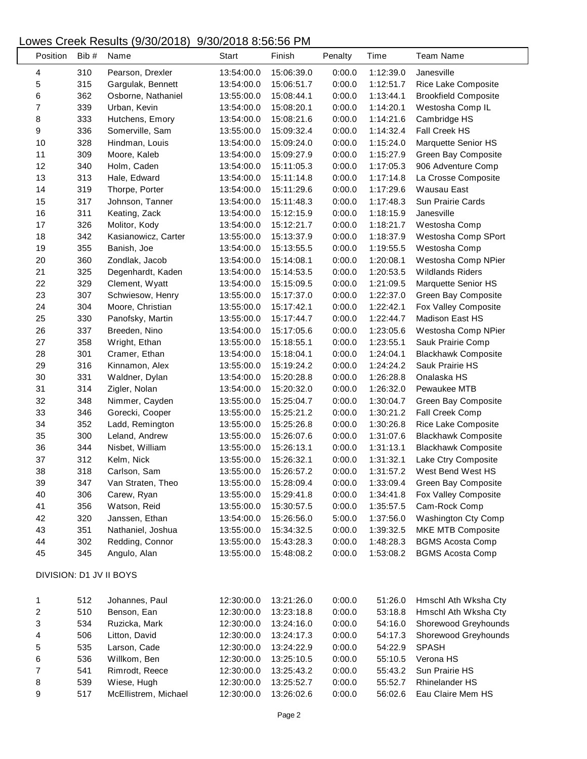| Position                | Bib # | Name                 | Start      | Finish     | Penalty | Time      | <b>Team Name</b>            |  |
|-------------------------|-------|----------------------|------------|------------|---------|-----------|-----------------------------|--|
| 4                       | 310   | Pearson, Drexler     | 13:54:00.0 | 15:06:39.0 | 0:00.0  | 1:12:39.0 | Janesville                  |  |
| 5                       | 315   | Gargulak, Bennett    | 13:54:00.0 | 15:06:51.7 | 0:00.0  | 1:12:51.7 | Rice Lake Composite         |  |
| 6                       | 362   | Osborne, Nathaniel   | 13:55:00.0 | 15:08:44.1 | 0:00.0  | 1:13:44.1 | <b>Brookfield Composite</b> |  |
| $\overline{7}$          | 339   | Urban, Kevin         | 13:54:00.0 | 15:08:20.1 | 0:00.0  | 1:14:20.1 | Westosha Comp IL            |  |
| 8                       | 333   | Hutchens, Emory      | 13:54:00.0 | 15:08:21.6 | 0:00.0  | 1:14:21.6 | Cambridge HS                |  |
| 9                       | 336   | Somerville, Sam      | 13:55:00.0 | 15:09:32.4 | 0:00.0  | 1:14:32.4 | Fall Creek HS               |  |
| 10                      | 328   | Hindman, Louis       | 13:54:00.0 | 15:09:24.0 | 0:00.0  | 1:15:24.0 | Marquette Senior HS         |  |
| 11                      | 309   | Moore, Kaleb         | 13:54:00.0 | 15:09:27.9 | 0:00.0  | 1:15:27.9 | Green Bay Composite         |  |
| 12                      | 340   | Holm, Caden          | 13:54:00.0 | 15:11:05.3 | 0:00.0  | 1:17:05.3 | 906 Adventure Comp          |  |
| 13                      | 313   | Hale, Edward         | 13:54:00.0 | 15:11:14.8 | 0:00.0  | 1:17:14.8 | La Crosse Composite         |  |
| 14                      | 319   | Thorpe, Porter       | 13:54:00.0 | 15:11:29.6 | 0:00.0  | 1:17:29.6 | Wausau East                 |  |
| 15                      | 317   | Johnson, Tanner      | 13:54:00.0 | 15:11:48.3 | 0:00.0  | 1:17:48.3 | Sun Prairie Cards           |  |
| 16                      | 311   | Keating, Zack        | 13:54:00.0 | 15:12:15.9 | 0:00.0  | 1:18:15.9 | Janesville                  |  |
| 17                      | 326   | Molitor, Kody        | 13:54:00.0 | 15:12:21.7 | 0:00.0  | 1:18:21.7 | Westosha Comp               |  |
| 18                      | 342   | Kasianowicz, Carter  | 13:55:00.0 | 15:13:37.9 | 0:00.0  | 1:18:37.9 | Westosha Comp SPort         |  |
| 19                      | 355   | Banish, Joe          | 13:54:00.0 | 15:13:55.5 | 0:00.0  | 1:19:55.5 | Westosha Comp               |  |
| 20                      | 360   | Zondlak, Jacob       | 13:54:00.0 | 15:14:08.1 | 0:00.0  | 1:20:08.1 | Westosha Comp NPier         |  |
| 21                      | 325   | Degenhardt, Kaden    | 13:54:00.0 | 15:14:53.5 | 0:00.0  | 1:20:53.5 | <b>Wildlands Riders</b>     |  |
| 22                      | 329   | Clement, Wyatt       | 13:54:00.0 | 15:15:09.5 | 0:00.0  | 1:21:09.5 | Marquette Senior HS         |  |
| 23                      | 307   | Schwiesow, Henry     | 13:55:00.0 | 15:17:37.0 | 0:00.0  | 1:22:37.0 | Green Bay Composite         |  |
| 24                      | 304   | Moore, Christian     | 13:55:00.0 | 15:17:42.1 | 0:00.0  | 1:22:42.1 | Fox Valley Composite        |  |
| 25                      | 330   | Panofsky, Martin     | 13:55:00.0 | 15:17:44.7 | 0:00.0  | 1:22:44.7 | <b>Madison East HS</b>      |  |
| 26                      | 337   | Breeden, Nino        | 13:54:00.0 | 15:17:05.6 | 0:00.0  | 1:23:05.6 | Westosha Comp NPier         |  |
| 27                      | 358   | Wright, Ethan        | 13:55:00.0 | 15:18:55.1 | 0:00.0  | 1:23:55.1 | Sauk Prairie Comp           |  |
| 28                      | 301   | Cramer, Ethan        | 13:54:00.0 | 15:18:04.1 | 0:00.0  | 1:24:04.1 | <b>Blackhawk Composite</b>  |  |
| 29                      | 316   | Kinnamon, Alex       | 13:55:00.0 | 15:19:24.2 | 0:00.0  | 1:24:24.2 | Sauk Prairie HS             |  |
| 30                      | 331   | Waldner, Dylan       | 13:54:00.0 | 15:20:28.8 | 0:00.0  | 1:26:28.8 | Onalaska HS                 |  |
| 31                      | 314   | Zigler, Nolan        | 13:54:00.0 | 15:20:32.0 | 0:00.0  | 1:26:32.0 | Pewaukee MTB                |  |
| 32                      | 348   | Nimmer, Cayden       | 13:55:00.0 | 15:25:04.7 | 0:00.0  | 1:30:04.7 | Green Bay Composite         |  |
| 33                      | 346   | Gorecki, Cooper      | 13:55:00.0 | 15:25:21.2 | 0:00.0  | 1:30:21.2 | Fall Creek Comp             |  |
| 34                      | 352   | Ladd, Remington      | 13:55:00.0 | 15:25:26.8 | 0:00.0  | 1:30:26.8 | Rice Lake Composite         |  |
| 35                      | 300   | Leland, Andrew       | 13:55:00.0 | 15:26:07.6 | 0:00.0  | 1:31:07.6 | <b>Blackhawk Composite</b>  |  |
| 36                      | 344   | Nisbet, William      | 13:55:00.0 | 15:26:13.1 | 0:00.0  | 1:31:13.1 | <b>Blackhawk Composite</b>  |  |
| 37                      | 312   | Kelm, Nick           | 13:55:00.0 | 15:26:32.1 | 0:00.0  | 1:31:32.1 | Lake Ctry Composite         |  |
| 38                      | 318   | Carlson, Sam         | 13:55:00.0 | 15:26:57.2 | 0:00.0  | 1:31:57.2 | West Bend West HS           |  |
| 39                      | 347   | Van Straten, Theo    | 13:55:00.0 | 15:28:09.4 | 0:00.0  | 1:33:09.4 | Green Bay Composite         |  |
| 40                      | 306   | Carew, Ryan          | 13:55:00.0 | 15:29:41.8 | 0:00.0  | 1:34:41.8 | Fox Valley Composite        |  |
| 41                      | 356   | Watson, Reid         | 13:55:00.0 | 15:30:57.5 | 0:00.0  | 1:35:57.5 | Cam-Rock Comp               |  |
| 42                      | 320   | Janssen, Ethan       | 13:54:00.0 | 15:26:56.0 | 5:00.0  | 1:37:56.0 | Washington Cty Comp         |  |
| 43                      | 351   | Nathaniel, Joshua    | 13:55:00.0 | 15:34:32.5 | 0:00.0  | 1:39:32.5 | MKE MTB Composite           |  |
| 44                      | 302   | Redding, Connor      | 13:55:00.0 | 15:43:28.3 | 0:00.0  | 1:48:28.3 | <b>BGMS Acosta Comp</b>     |  |
| 45                      | 345   | Angulo, Alan         | 13:55:00.0 | 15:48:08.2 | 0:00.0  | 1:53:08.2 | <b>BGMS Acosta Comp</b>     |  |
| DIVISION: D1 JV II BOYS |       |                      |            |            |         |           |                             |  |
| 1                       | 512   | Johannes, Paul       | 12:30:00.0 | 13:21:26.0 | 0:00.0  | 51:26.0   | Hmschl Ath Wksha Cty        |  |
| $\overline{\mathbf{c}}$ | 510   | Benson, Ean          | 12:30:00.0 | 13:23:18.8 | 0:00.0  | 53:18.8   | Hmschl Ath Wksha Cty        |  |
| 3                       | 534   | Ruzicka, Mark        | 12:30:00.0 | 13:24:16.0 | 0:00.0  | 54:16.0   | Shorewood Greyhounds        |  |
| 4                       | 506   | Litton, David        | 12:30:00.0 | 13:24:17.3 | 0:00.0  | 54:17.3   | Shorewood Greyhounds        |  |
| 5                       | 535   | Larson, Cade         | 12:30:00.0 | 13:24:22.9 | 0:00.0  | 54:22.9   | <b>SPASH</b>                |  |
| 6                       | 536   | Willkom, Ben         | 12:30:00.0 | 13:25:10.5 | 0:00.0  | 55:10.5   | Verona HS                   |  |
| $\overline{7}$          | 541   | Rimrodt, Reece       | 12:30:00.0 | 13:25:43.2 | 0:00.0  | 55:43.2   | Sun Prairie HS              |  |
| 8                       | 539   | Wiese, Hugh          | 12:30:00.0 | 13:25:52.7 | 0:00.0  | 55:52.7   | <b>Rhinelander HS</b>       |  |
| 9                       | 517   | McEllistrem, Michael | 12:30:00.0 | 13:26:02.6 | 0:00.0  | 56:02.6   | Eau Claire Mem HS           |  |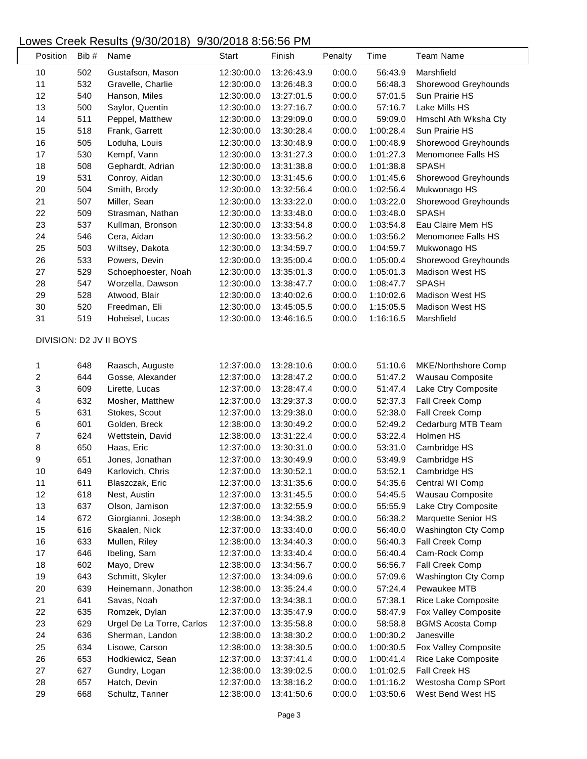| Position                | Bib # | Name                      | Start      | Finish     | Penalty | Time      | <b>Team Name</b>           |
|-------------------------|-------|---------------------------|------------|------------|---------|-----------|----------------------------|
| 10                      | 502   | Gustafson, Mason          | 12:30:00.0 | 13:26:43.9 | 0:00.0  | 56:43.9   | Marshfield                 |
| 11                      | 532   | Gravelle, Charlie         | 12:30:00.0 | 13:26:48.3 | 0:00.0  | 56:48.3   | Shorewood Greyhounds       |
| 12                      | 540   | Hanson, Miles             | 12:30:00.0 | 13:27:01.5 | 0:00.0  | 57:01.5   | Sun Prairie HS             |
| 13                      | 500   | Saylor, Quentin           | 12:30:00.0 | 13:27:16.7 | 0:00.0  | 57:16.7   | Lake Mills HS              |
| 14                      | 511   | Peppel, Matthew           | 12:30:00.0 | 13:29:09.0 | 0:00.0  | 59:09.0   | Hmschl Ath Wksha Cty       |
| 15                      | 518   | Frank, Garrett            | 12:30:00.0 | 13:30:28.4 | 0:00.0  | 1:00:28.4 | Sun Prairie HS             |
| 16                      | 505   | Loduha, Louis             | 12:30:00.0 | 13:30:48.9 | 0:00.0  | 1:00:48.9 | Shorewood Greyhounds       |
| 17                      | 530   | Kempf, Vann               | 12:30:00.0 | 13:31:27.3 | 0:00.0  | 1:01:27.3 | Menomonee Falls HS         |
| 18                      | 508   | Gephardt, Adrian          | 12:30:00.0 | 13:31:38.8 | 0:00.0  | 1:01:38.8 | <b>SPASH</b>               |
| 19                      | 531   | Conroy, Aidan             | 12:30:00.0 | 13:31:45.6 | 0:00.0  | 1:01:45.6 | Shorewood Greyhounds       |
| 20                      | 504   | Smith, Brody              | 12:30:00.0 | 13:32:56.4 | 0:00.0  | 1:02:56.4 | Mukwonago HS               |
| 21                      | 507   | Miller, Sean              | 12:30:00.0 | 13:33:22.0 | 0:00.0  | 1:03:22.0 | Shorewood Greyhounds       |
| 22                      | 509   | Strasman, Nathan          | 12:30:00.0 | 13:33:48.0 | 0:00.0  | 1:03:48.0 | <b>SPASH</b>               |
| 23                      | 537   | Kullman, Bronson          | 12:30:00.0 | 13:33:54.8 | 0:00.0  | 1:03:54.8 | Eau Claire Mem HS          |
| 24                      | 546   | Cera, Aidan               | 12:30:00.0 | 13:33:56.2 | 0:00.0  | 1:03:56.2 | Menomonee Falls HS         |
| 25                      | 503   | Wiltsey, Dakota           | 12:30:00.0 | 13:34:59.7 | 0:00.0  | 1:04:59.7 | Mukwonago HS               |
| 26                      | 533   | Powers, Devin             | 12:30:00.0 | 13:35:00.4 | 0:00.0  | 1:05:00.4 | Shorewood Greyhounds       |
| 27                      | 529   | Schoephoester, Noah       | 12:30:00.0 | 13:35:01.3 | 0:00.0  | 1:05:01.3 | <b>Madison West HS</b>     |
| 28                      | 547   | Worzella, Dawson          | 12:30:00.0 | 13:38:47.7 | 0:00.0  | 1:08:47.7 | <b>SPASH</b>               |
| 29                      | 528   | Atwood, Blair             | 12:30:00.0 | 13:40:02.6 | 0:00.0  | 1:10:02.6 | <b>Madison West HS</b>     |
| 30                      | 520   | Freedman, Eli             | 12:30:00.0 | 13:45:05.5 | 0:00.0  | 1:15:05.5 | <b>Madison West HS</b>     |
| 31                      | 519   | Hoheisel, Lucas           | 12:30:00.0 | 13:46:16.5 | 0:00.0  | 1:16:16.5 | Marshfield                 |
| DIVISION: D2 JV II BOYS |       |                           |            |            |         |           |                            |
| 1                       | 648   | Raasch, Auguste           | 12:37:00.0 | 13:28:10.6 | 0:00.0  | 51:10.6   | MKE/Northshore Comp        |
| $\overline{c}$          | 644   | Gosse, Alexander          | 12:37:00.0 | 13:28:47.2 | 0:00.0  | 51:47.2   | Wausau Composite           |
| 3                       | 609   | Lirette, Lucas            | 12:37:00.0 | 13:28:47.4 | 0:00.0  | 51:47.4   | Lake Ctry Composite        |
| 4                       | 632   | Mosher, Matthew           | 12:37:00.0 | 13:29:37.3 | 0:00.0  | 52:37.3   | Fall Creek Comp            |
| 5                       | 631   | Stokes, Scout             | 12:37:00.0 | 13:29:38.0 | 0:00.0  | 52:38.0   | Fall Creek Comp            |
| 6                       | 601   | Golden, Breck             | 12:38:00.0 | 13:30:49.2 | 0:00.0  | 52:49.2   | Cedarburg MTB Team         |
| 7                       | 624   | Wettstein, David          | 12:38:00.0 | 13:31:22.4 | 0:00.0  | 53:22.4   | Holmen HS                  |
| 8                       | 650   | Haas, Eric                | 12:37:00.0 | 13:30:31.0 | 0:00.0  | 53:31.0   | Cambridge HS               |
| 9                       | 651   | Jones, Jonathan           | 12:37:00.0 | 13:30:49.9 | 0:00.0  | 53:49.9   | Cambridge HS               |
| 10                      | 649   | Karlovich, Chris          | 12:37:00.0 | 13:30:52.1 | 0:00.0  | 53:52.1   | Cambridge HS               |
| 11                      | 611   | Blaszczak, Eric           | 12:37:00.0 | 13:31:35.6 | 0:00.0  | 54:35.6   | Central WI Comp            |
| 12                      | 618   | Nest, Austin              | 12:37:00.0 | 13:31:45.5 | 0:00.0  | 54:45.5   | Wausau Composite           |
| 13                      | 637   | Olson, Jamison            | 12:37:00.0 | 13:32:55.9 | 0:00.0  | 55:55.9   | Lake Ctry Composite        |
| 14                      | 672   | Giorgianni, Joseph        | 12:38:00.0 | 13:34:38.2 | 0:00.0  | 56:38.2   | Marquette Senior HS        |
| 15                      | 616   | Skaalen, Nick             | 12:37:00.0 | 13:33:40.0 | 0:00.0  | 56:40.0   | <b>Washington Cty Comp</b> |
| 16                      | 633   | Mullen, Riley             | 12:38:00.0 | 13:34:40.3 | 0:00.0  | 56:40.3   | Fall Creek Comp            |
| 17                      | 646   | Ibeling, Sam              | 12:37:00.0 | 13:33:40.4 | 0:00.0  | 56:40.4   | Cam-Rock Comp              |
| 18                      | 602   | Mayo, Drew                | 12:38:00.0 | 13:34:56.7 | 0:00.0  | 56:56.7   | Fall Creek Comp            |
| 19                      | 643   | Schmitt, Skyler           | 12:37:00.0 | 13:34:09.6 | 0:00.0  | 57:09.6   | <b>Washington Cty Comp</b> |
| 20                      | 639   | Heinemann, Jonathon       | 12:38:00.0 | 13:35:24.4 | 0:00.0  | 57:24.4   | Pewaukee MTB               |
| 21                      | 641   | Savas, Noah               | 12:37:00.0 | 13:34:38.1 | 0:00.0  | 57:38.1   | Rice Lake Composite        |
| 22                      | 635   | Romzek, Dylan             | 12:37:00.0 | 13:35:47.9 | 0:00.0  | 58:47.9   | Fox Valley Composite       |
| 23                      | 629   | Urgel De La Torre, Carlos | 12:37:00.0 | 13:35:58.8 | 0:00.0  | 58:58.8   | <b>BGMS Acosta Comp</b>    |
| 24                      | 636   | Sherman, Landon           | 12:38:00.0 | 13:38:30.2 | 0:00.0  | 1:00:30.2 | Janesville                 |
| 25                      | 634   | Lisowe, Carson            | 12:38:00.0 | 13:38:30.5 | 0:00.0  | 1:00:30.5 | Fox Valley Composite       |
| 26                      | 653   | Hodkiewicz, Sean          | 12:37:00.0 | 13:37:41.4 | 0:00.0  | 1:00:41.4 | Rice Lake Composite        |
| 27                      | 627   | Gundry, Logan             | 12:38:00.0 | 13:39:02.5 | 0:00.0  | 1:01:02.5 | Fall Creek HS              |
| 28                      | 657   | Hatch, Devin              | 12:37:00.0 | 13:38:16.2 | 0:00.0  | 1:01:16.2 | Westosha Comp SPort        |
| 29                      | 668   | Schultz, Tanner           | 12:38:00.0 | 13:41:50.6 | 0:00.0  | 1:03:50.6 | West Bend West HS          |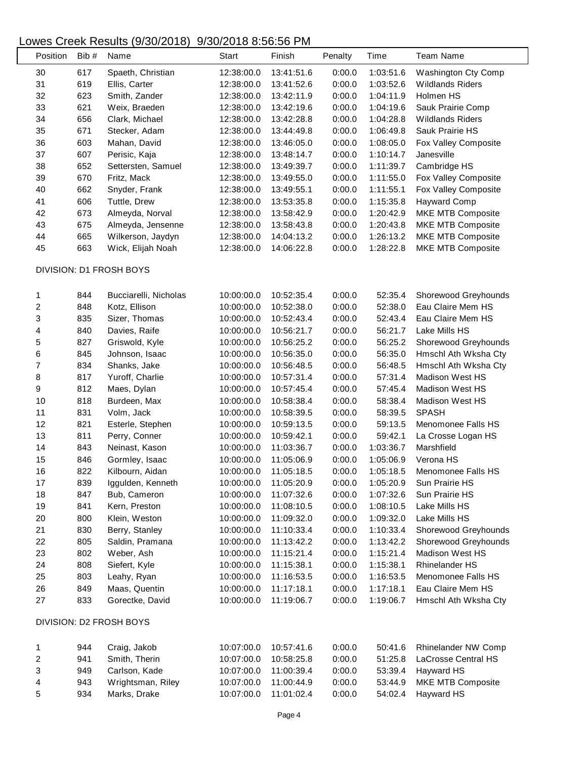| Position                | Bib# | Name                    | Start      | Finish     | Penalty | Time      | <b>Team Name</b>        |  |
|-------------------------|------|-------------------------|------------|------------|---------|-----------|-------------------------|--|
| 30                      | 617  | Spaeth, Christian       | 12:38:00.0 | 13:41:51.6 | 0:00.0  | 1:03:51.6 | Washington Cty Comp     |  |
| 31                      | 619  | Ellis, Carter           | 12:38:00.0 | 13:41:52.6 | 0:00.0  | 1:03:52.6 | <b>Wildlands Riders</b> |  |
| 32                      | 623  | Smith, Zander           | 12:38:00.0 | 13:42:11.9 | 0:00.0  | 1:04:11.9 | Holmen HS               |  |
| 33                      | 621  | Weix, Braeden           | 12:38:00.0 | 13:42:19.6 | 0:00.0  | 1:04:19.6 | Sauk Prairie Comp       |  |
| 34                      | 656  | Clark, Michael          | 12:38:00.0 | 13:42:28.8 | 0:00.0  | 1:04:28.8 | <b>Wildlands Riders</b> |  |
| 35                      | 671  | Stecker, Adam           | 12:38:00.0 | 13:44:49.8 | 0:00.0  | 1:06:49.8 | Sauk Prairie HS         |  |
| 36                      | 603  | Mahan, David            | 12:38:00.0 | 13:46:05.0 | 0:00.0  | 1:08:05.0 | Fox Valley Composite    |  |
| 37                      | 607  | Perisic, Kaja           | 12:38:00.0 | 13:48:14.7 | 0:00.0  | 1:10:14.7 | Janesville              |  |
| 38                      | 652  | Settersten, Samuel      | 12:38:00.0 | 13:49:39.7 | 0:00.0  | 1:11:39.7 | Cambridge HS            |  |
| 39                      | 670  | Fritz, Mack             | 12:38:00.0 | 13:49:55.0 | 0:00.0  | 1:11:55.0 | Fox Valley Composite    |  |
| 40                      | 662  | Snyder, Frank           | 12:38:00.0 | 13:49:55.1 | 0:00.0  | 1:11:55.1 | Fox Valley Composite    |  |
| 41                      | 606  | Tuttle, Drew            | 12:38:00.0 | 13:53:35.8 | 0:00.0  | 1:15:35.8 | Hayward Comp            |  |
| 42                      | 673  | Almeyda, Norval         | 12:38:00.0 | 13:58:42.9 | 0:00.0  | 1:20:42.9 | MKE MTB Composite       |  |
| 43                      | 675  | Almeyda, Jensenne       | 12:38:00.0 | 13:58:43.8 | 0:00.0  | 1:20:43.8 | MKE MTB Composite       |  |
| 44                      | 665  | Wilkerson, Jaydyn       | 12:38:00.0 | 14:04:13.2 | 0:00.0  | 1:26:13.2 | MKE MTB Composite       |  |
| 45                      | 663  | Wick, Elijah Noah       | 12:38:00.0 | 14:06:22.8 | 0:00.0  | 1:28:22.8 | MKE MTB Composite       |  |
|                         |      |                         |            |            |         |           |                         |  |
|                         |      | DIVISION: D1 FROSH BOYS |            |            |         |           |                         |  |
| 1                       | 844  | Bucciarelli, Nicholas   | 10:00:00.0 | 10:52:35.4 | 0:00.0  | 52:35.4   | Shorewood Greyhounds    |  |
| $\overline{\mathbf{c}}$ | 848  | Kotz, Ellison           | 10:00:00.0 | 10:52:38.0 | 0:00.0  | 52:38.0   | Eau Claire Mem HS       |  |
| 3                       | 835  | Sizer, Thomas           | 10:00:00.0 | 10:52:43.4 | 0:00.0  | 52:43.4   | Eau Claire Mem HS       |  |
| 4                       | 840  | Davies, Raife           | 10:00:00.0 | 10:56:21.7 | 0:00.0  | 56:21.7   | Lake Mills HS           |  |
| 5                       | 827  | Griswold, Kyle          | 10:00:00.0 | 10:56:25.2 | 0:00.0  | 56:25.2   | Shorewood Greyhounds    |  |
| 6                       | 845  | Johnson, Isaac          | 10:00:00.0 | 10:56:35.0 | 0:00.0  | 56:35.0   | Hmschl Ath Wksha Cty    |  |
| 7                       | 834  | Shanks, Jake            | 10:00:00.0 | 10:56:48.5 | 0:00.0  | 56:48.5   | Hmschl Ath Wksha Cty    |  |
| $\,8\,$                 | 817  | Yuroff, Charlie         | 10:00:00.0 | 10:57:31.4 | 0:00.0  | 57:31.4   | <b>Madison West HS</b>  |  |
| 9                       | 812  | Maes, Dylan             | 10:00:00.0 | 10:57:45.4 | 0:00.0  | 57:45.4   | Madison West HS         |  |
| 10                      | 818  | Burdeen, Max            | 10:00:00.0 | 10:58:38.4 | 0:00.0  | 58:38.4   | <b>Madison West HS</b>  |  |
| 11                      | 831  | Volm, Jack              | 10:00:00.0 | 10:58:39.5 | 0:00.0  | 58:39.5   | <b>SPASH</b>            |  |
| 12                      | 821  | Esterle, Stephen        | 10:00:00.0 | 10:59:13.5 | 0:00.0  | 59:13.5   | Menomonee Falls HS      |  |
| 13                      | 811  | Perry, Conner           | 10:00:00.0 | 10:59:42.1 | 0:00.0  | 59:42.1   | La Crosse Logan HS      |  |
| 14                      | 843  | Neinast, Kason          | 10:00:00.0 | 11:03:36.7 | 0:00.0  | 1:03:36.7 | Marshfield              |  |
| 15                      | 846  | Gormley, Isaac          | 10:00:00.0 | 11:05:06.9 | 0:00.0  | 1:05:06.9 | Verona HS               |  |
| 16                      | 822  | Kilbourn, Aidan         | 10:00:00.0 | 11:05:18.5 | 0:00.0  | 1:05:18.5 | Menomonee Falls HS      |  |
| 17                      | 839  | Iggulden, Kenneth       | 10:00:00.0 | 11:05:20.9 | 0:00.0  | 1:05:20.9 | Sun Prairie HS          |  |
| 18                      | 847  | Bub, Cameron            | 10:00:00.0 | 11:07:32.6 | 0:00.0  | 1:07:32.6 | Sun Prairie HS          |  |
| 19                      | 841  | Kern, Preston           | 10:00:00.0 | 11:08:10.5 | 0:00.0  | 1:08:10.5 | Lake Mills HS           |  |
| 20                      | 800  | Klein, Weston           | 10:00:00.0 | 11:09:32.0 | 0:00.0  | 1:09:32.0 | Lake Mills HS           |  |
| 21                      | 830  | Berry, Stanley          | 10:00:00.0 | 11:10:33.4 | 0:00.0  | 1:10:33.4 | Shorewood Greyhounds    |  |
| 22                      | 805  | Saldin, Pramana         | 10:00:00.0 | 11:13:42.2 | 0:00.0  | 1:13:42.2 | Shorewood Greyhounds    |  |
| 23                      | 802  | Weber, Ash              | 10:00:00.0 | 11:15:21.4 | 0:00.0  | 1:15:21.4 | Madison West HS         |  |
| 24                      | 808  | Siefert, Kyle           | 10:00:00.0 | 11:15:38.1 | 0:00.0  | 1:15:38.1 | <b>Rhinelander HS</b>   |  |
| 25                      | 803  | Leahy, Ryan             | 10:00:00.0 | 11:16:53.5 | 0:00.0  | 1:16:53.5 | Menomonee Falls HS      |  |
| 26                      | 849  | Maas, Quentin           | 10:00:00.0 | 11:17:18.1 | 0:00.0  | 1:17:18.1 | Eau Claire Mem HS       |  |
| 27                      | 833  | Gorectke, David         | 10:00:00.0 | 11:19:06.7 | 0:00.0  | 1:19:06.7 | Hmschl Ath Wksha Cty    |  |
| DIVISION: D2 FROSH BOYS |      |                         |            |            |         |           |                         |  |
| 1                       | 944  | Craig, Jakob            | 10:07:00.0 | 10:57:41.6 | 0:00.0  | 50:41.6   | Rhinelander NW Comp     |  |
| $\overline{\mathbf{c}}$ | 941  | Smith, Therin           | 10:07:00.0 | 10:58:25.8 | 0:00.0  | 51:25.8   | LaCrosse Central HS     |  |
| 3                       | 949  | Carlson, Kade           | 10:07:00.0 | 11:00:39.4 | 0:00.0  | 53:39.4   | Hayward HS              |  |
| 4                       | 943  | Wrightsman, Riley       | 10:07:00.0 | 11:00:44.9 | 0:00.0  | 53:44.9   | MKE MTB Composite       |  |
| 5                       | 934  | Marks, Drake            | 10:07:00.0 | 11:01:02.4 | 0:00.0  | 54:02.4   | Hayward HS              |  |
|                         |      |                         |            |            |         |           |                         |  |